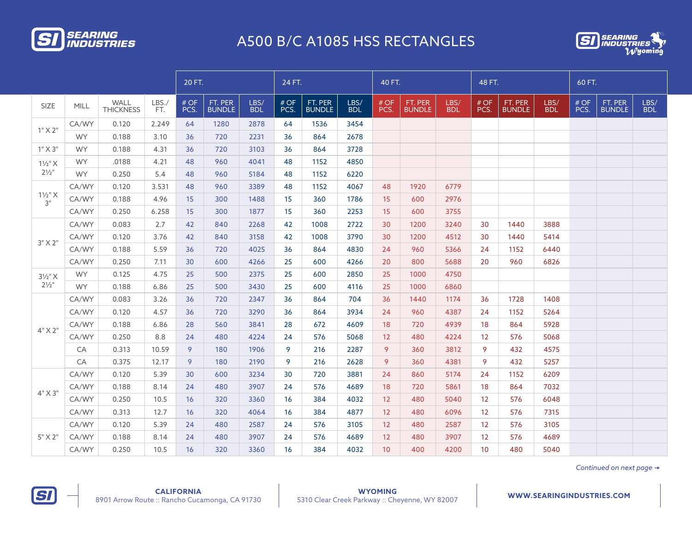



|                                        |           |                          |             | 20 FT.      | 24 FT.                   |                    |             |                          |                    |                 | 40 FT.                   |                    |                   | 48 FT.                   |                    |             | 60 FT.                   |                    |  |
|----------------------------------------|-----------|--------------------------|-------------|-------------|--------------------------|--------------------|-------------|--------------------------|--------------------|-----------------|--------------------------|--------------------|-------------------|--------------------------|--------------------|-------------|--------------------------|--------------------|--|
| <b>SIZE</b>                            | MILL      | WALL<br><b>THICKNESS</b> | LBS.<br>FT. | #OF<br>PCS. | FT. PER<br><b>BUNDLE</b> | LBS/<br><b>BDL</b> | #OF<br>PCS. | FT. PER<br><b>BUNDLE</b> | LBS/<br><b>BDL</b> | # OF<br>PCS.    | FT. PER<br><b>BUNDLE</b> | LBS/<br><b>BDL</b> | #OF<br>PCS.       | FT. PER<br><b>BUNDLE</b> | LBS/<br><b>BDL</b> | #OF<br>PCS. | FT. PER<br><b>BUNDLE</b> | LBS/<br><b>BDL</b> |  |
|                                        | CA/WY     | 0.120                    | 2.249       | 64          | 1280                     | 2878               | 64          | 1536                     | 3454               |                 |                          |                    |                   |                          |                    |             |                          |                    |  |
| $1"$ X $2"$                            | <b>WY</b> | 0.188                    | 3.10        | 36          | 720                      | 2231               | 36          | 864                      | 2678               |                 |                          |                    |                   |                          |                    |             |                          |                    |  |
| $1"$ X 3"                              | <b>WY</b> | 0.188                    | 4.31        | 36          | 720                      | 3103               | 36          | 864                      | 3728               |                 |                          |                    |                   |                          |                    |             |                          |                    |  |
| $1\frac{1}{2}$ " X<br>$2\frac{1}{2}$ " | <b>WY</b> | .0188                    | 4.21        | 48          | 960                      | 4041               | 48          | 1152                     | 4850               |                 |                          |                    |                   |                          |                    |             |                          |                    |  |
|                                        | <b>WY</b> | 0.250                    | 5.4         | 48          | 960                      | 5184               | 48          | 1152                     | 6220               |                 |                          |                    |                   |                          |                    |             |                          |                    |  |
|                                        | CA/WY     | 0.120                    | 3.531       | 48          | 960                      | 3389               | 48          | 1152                     | 4067               | 48              | 1920                     | 6779               |                   |                          |                    |             |                          |                    |  |
| $1\frac{1}{2}$ " X<br>3"               | CA/WY     | 0.188                    | 4.96        | 15          | 300                      | 1488               | 15          | 360                      | 1786               | 15              | 600                      | 2976               |                   |                          |                    |             |                          |                    |  |
|                                        | CA/WY     | 0.250                    | 6.258       | 15          | 300                      | 1877               | 15          | 360                      | 2253               | 15 <sup>1</sup> | 600                      | 3755               |                   |                          |                    |             |                          |                    |  |
| $3"$ X $2"$                            | CA/WY     | 0.083                    | 2.7         | 42          | 840                      | 2268               | 42          | 1008                     | 2722               | 30              | 1200                     | 3240               | 30                | 1440                     | 3888               |             |                          |                    |  |
|                                        | CA/WY     | 0.120                    | 3.76        | 42          | 840                      | 3158               | 42          | 1008                     | 3790               | 30              | 1200                     | 4512               | 30                | 1440                     | 5414               |             |                          |                    |  |
|                                        | CA/WY     | 0.188                    | 5.59        | 36          | 720                      | 4025               | 36          | 864                      | 4830               | 24              | 960                      | 5366               | 24                | 1152                     | 6440               |             |                          |                    |  |
|                                        | CA/WY     | 0.250                    | 7.11        | 30          | 600                      | 4266               | 25          | 600                      | 4266               | 20              | 800                      | 5688               | 20                | 960                      | 6826               |             |                          |                    |  |
| $3\frac{1}{2}$ " X                     | <b>WY</b> | 0.125                    | 4.75        | 25          | 500                      | 2375               | 25          | 600                      | 2850               | 25              | 1000                     | 4750               |                   |                          |                    |             |                          |                    |  |
| $2^{1/2}$                              | <b>WY</b> | 0.188                    | 6.86        | 25          | 500                      | 3430               | 25          | 600                      | 4116               | 25              | 1000                     | 6860               |                   |                          |                    |             |                          |                    |  |
|                                        | CA/WY     | 0.083                    | 3.26        | 36          | 720                      | 2347               | 36          | 864                      | 704                | 36              | 1440                     | 1174               | 36                | 1728                     | 1408               |             |                          |                    |  |
|                                        | CA/WY     | 0.120                    | 4.57        | 36          | 720                      | 3290               | 36          | 864                      | 3934               | 24              | 960                      | 4387               | 24                | 1152                     | 5264               |             |                          |                    |  |
|                                        | CA/WY     | 0.188                    | 6.86        | 28          | 560                      | 3841               | 28          | 672                      | 4609               | 18              | 720                      | 4939               | 18                | 864                      | 5928               |             |                          |                    |  |
| $4"$ X 2"                              | CA/WY     | 0.250                    | 8.8         | 24          | 480                      | 4224               | 24          | 576                      | 5068               | 12              | 480                      | 4224               | 12 <sup>2</sup>   | 576                      | 5068               |             |                          |                    |  |
|                                        | CA        | 0.313                    | 10.59       | 9           | 180                      | 1906               | 9           | 216                      | 2287               | 9               | 360                      | 3812               | 9                 | 432                      | 4575               |             |                          |                    |  |
|                                        | CA        | 0.375                    | 12.17       | 9           | 180                      | 2190               | 9           | 216                      | 2628               | 9               | 360                      | 4381               | 9                 | 432                      | 5257               |             |                          |                    |  |
|                                        | CA/WY     | 0.120                    | 5.39        | 30          | 600                      | 3234               | 30          | 720                      | 3881               | 24              | 860                      | 5174               | 24                | 1152                     | 6209               |             |                          |                    |  |
|                                        | CA/WY     | 0.188                    | 8.14        | 24          | 480                      | 3907               | 24          | 576                      | 4689               | 18              | 720                      | 5861               | 18                | 864                      | 7032               |             |                          |                    |  |
| $4"$ X 3"                              | CA/WY     | 0.250                    | 10.5        | 16          | 320                      | 3360               | 16          | 384                      | 4032               | 12              | 480                      | 5040               | 12                | 576                      | 6048               |             |                          |                    |  |
|                                        | CA/WY     | 0.313                    | 12.7        | 16          | 320                      | 4064               | 16          | 384                      | 4877               | 12              | 480                      | 6096               | $12 \overline{ }$ | 576                      | 7315               |             |                          |                    |  |
|                                        | CA/WY     | 0.120                    | 5.39        | 24          | 480                      | 2587               | 24          | 576                      | 3105               | 12              | 480                      | 2587               | $12 \overline{ }$ | 576                      | 3105               |             |                          |                    |  |
| 5" X 2"                                | CA/WY     | 0.188                    | 8.14        | 24          | 480                      | 3907               | 24          | 576                      | 4689               | 12              | 480                      | 3907               | 12                | 576                      | 4689               |             |                          |                    |  |
|                                        | CA/WY     | 0.250                    | 10.5        | 16          | 320                      | 3360               | 16          | 384                      | 4032               | 10              | 400                      | 4200               | 10 <sup>°</sup>   | 480                      | 5040               |             |                          |                    |  |

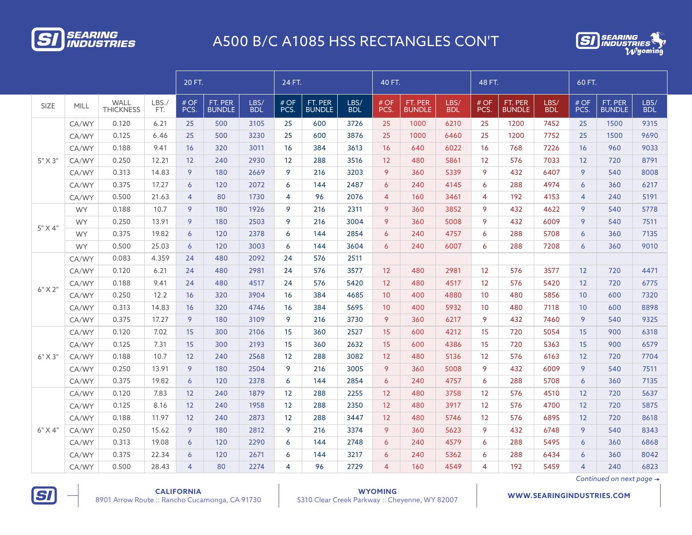



|             |           |                          |             | 20 FT.         |                          |                    | 24 FT.       |                          |                    | 40 FT.          |                          |                    | 48 FT.            |                          |                    | 60 FT.            |                          |                    |
|-------------|-----------|--------------------------|-------------|----------------|--------------------------|--------------------|--------------|--------------------------|--------------------|-----------------|--------------------------|--------------------|-------------------|--------------------------|--------------------|-------------------|--------------------------|--------------------|
| <b>SIZE</b> | MILL      | WALL<br><b>THICKNESS</b> | LBS.<br>FT. | # OF<br>PCS.   | FT. PER<br><b>BUNDLE</b> | LBS/<br><b>BDL</b> | # OF<br>PCS. | FT. PER<br><b>BUNDLE</b> | LBS/<br><b>BDL</b> | #OF<br>PCS.     | FT. PER<br><b>BUNDLE</b> | LBS/<br><b>BDL</b> | # OF<br>PCS.      | FT. PER<br><b>BUNDLE</b> | LBS/<br><b>BDL</b> | # OF<br>PCS.      | FT. PER<br><b>BUNDLE</b> | LBS/<br><b>BDL</b> |
|             | CA/WY     | 0.120                    | 6.21        | 25             | 500                      | 3105               | 25           | 600                      | 3726               | 25              | 1000                     | 6210               | 25                | 1200                     | 7452               | 25                | 1500                     | 9315               |
|             | CA/WY     | 0.125                    | 6.46        | 25             | 500                      | 3230               | 25           | 600                      | 3876               | 25              | 1000                     | 6460               | 25                | 1200                     | 7752               | 25                | 1500                     | 9690               |
|             | CA/WY     | 0.188                    | 9.41        | 16             | 320                      | 3011               | 16           | 384                      | 3613               | 16              | 640                      | 6022               | 16                | 768                      | 7226               | 16                | 960                      | 9033               |
| $5"$ X 3"   | CA/WY     | 0.250                    | 12.21       | 12             | 240                      | 2930               | 12           | 288                      | 3516               | 12              | 480                      | 5861               | 12 <sup>°</sup>   | 576                      | 7033               | 12                | 720                      | 8791               |
|             | CA/WY     | 0.313                    | 14.83       | 9              | 180                      | 2669               | 9            | 216                      | 3203               | 9               | 360                      | 5339               | 9                 | 432                      | 6407               | 9                 | 540                      | 8008               |
|             | CA/WY     | 0.375                    | 17.27       | 6              | 120                      | 2072               | 6            | 144                      | 2487               | 6               | 240                      | 4145               | 6                 | 288                      | 4974               | 6                 | 360                      | 6217               |
|             | CA/WY     | 0.500                    | 21.63       | $\overline{4}$ | 80                       | 1730               | 4            | 96                       | 2076               | $\overline{4}$  | 160                      | 3461               | $\overline{4}$    | 192                      | 4153               | $\overline{4}$    | 240                      | 5191               |
|             | <b>WY</b> | 0.188                    | 10.7        | 9              | 180                      | 1926               | 9            | 216                      | 2311               | 9               | 360                      | 3852               | 9                 | 432                      | 4622               | 9                 | 540                      | 5778               |
|             | <b>WY</b> | 0.250                    | 13.91       | 9              | 180                      | 2503               | 9            | 216                      | 3004               | 9               | 360                      | 5008               | 9                 | 432                      | 6009               | 9                 | 540                      | 7511               |
| 5" X 4"     | <b>WY</b> | 0.375                    | 19.82       | 6              | 120                      | 2378               | 6            | 144                      | 2854               | 6               | 240                      | 4757               | 6                 | 288                      | 5708               | $\overline{6}$    | 360                      | 7135               |
|             | <b>WY</b> | 0.500                    | 25.03       | 6              | 120                      | 3003               | 6            | 144                      | 3604               | 6               | 240                      | 6007               | 6                 | 288                      | 7208               | 6                 | 360                      | 9010               |
|             | CA/WY     | 0.083                    | 4.359       | 24             | 480                      | 2092               | 24           | 576                      | 2511               |                 |                          |                    |                   |                          |                    |                   |                          |                    |
|             | CA/WY     | 0.120                    | 6.21        | 24             | 480                      | 2981               | 24           | 576                      | 3577               | 12 <sup>2</sup> | 480                      | 2981               | $12 \overline{ }$ | 576                      | 3577               | 12                | 720                      | 4471               |
| $6"$ X 2"   | CA/WY     | 0.188                    | 9.41        | 24             | 480                      | 4517               | 24           | 576                      | 5420               | 12 <sup>2</sup> | 480                      | 4517               | 12 <sup>°</sup>   | 576                      | 5420               | $12 \overline{ }$ | 720                      | 6775               |
|             | CA/WY     | 0.250                    | 12.2        | 16             | 320                      | 3904               | 16           | 384                      | 4685               | 10 <sup>°</sup> | 400                      | 4880               | 10                | 480                      | 5856               | 10                | 600                      | 7320               |
|             | CA/WY     | 0.313                    | 14.83       | 16             | 320                      | 4746               | 16           | 384                      | 5695               | 10              | 400                      | 5932               | 10 <sup>1</sup>   | 480                      | 7118               | 10                | 600                      | 8898               |
|             | CA/WY     | 0.375                    | 17.27       | 9              | 180                      | 3109               | 9            | 216                      | 3730               | 9               | 360                      | 6217               | 9                 | 432                      | 7460               | 9                 | 540                      | 9325               |
|             | CA/WY     | 0.120                    | 7.02        | 15             | 300                      | 2106               | 15           | 360                      | 2527               | 15 <sup>2</sup> | 600                      | 4212               | 15                | 720                      | 5054               | 15                | 900                      | 6318               |
|             | CA/WY     | 0.125                    | 7.31        | 15             | 300                      | 2193               | 15           | 360                      | 2632               | 15              | 600                      | 4386               | 15                | 720                      | 5363               | 15                | 900                      | 6579               |
| $6"$ X 3"   | CA/WY     | 0.188                    | 10.7        | 12             | 240                      | 2568               | 12           | 288                      | 3082               | 12              | 480                      | 5136               | 12 <sup>°</sup>   | 576                      | 6163               | 12                | 720                      | 7704               |
|             | CA/WY     | 0.250                    | 13.91       | 9              | 180                      | 2504               | 9            | 216                      | 3005               | 9               | 360                      | 5008               | 9                 | 432                      | 6009               | 9                 | 540                      | 7511               |
|             | CA/WY     | 0.375                    | 19.82       | 6              | 120                      | 2378               | 6            | 144                      | 2854               | 6               | 240                      | 4757               | 6                 | 288                      | 5708               | 6                 | 360                      | 7135               |
|             | CA/WY     | 0.120                    | 7.83        | 12             | 240                      | 1879               | 12           | 288                      | 2255               | 12              | 480                      | 3758               | 12                | 576                      | 4510               | 12                | 720                      | 5637               |
|             | CA/WY     | 0.125                    | 8.16        | 12             | 240                      | 1958               | 12           | 288                      | 2350               | 12              | 480                      | 3917               | 12                | 576                      | 4700               | 12                | 720                      | 5875               |
|             | CA/WY     | 0.188                    | 11.97       | 12             | 240                      | 2873               | 12           | 288                      | 3447               | 12 <sup>2</sup> | 480                      | 5746               | 12 <sup>°</sup>   | 576                      | 6895               | 12                | 720                      | 8618               |
| $6"$ X 4"   | CA/WY     | 0.250                    | 15.62       | 9              | 180                      | 2812               | 9            | 216                      | 3374               | 9               | 360                      | 5623               | 9                 | 432                      | 6748               | 9                 | 540                      | 8343               |
|             | CA/WY     | 0.313                    | 19.08       | 6              | 120                      | 2290               | 6            | 144                      | 2748               | 6               | 240                      | 4579               | 6                 | 288                      | 5495               | 6                 | 360                      | 6868               |
|             | CA/WY     | 0.375                    | 22.34       | 6              | 120                      | 2671               | 6            | 144                      | 3217               | 6               | 240                      | 5362               | 6                 | 288                      | 6434               | $\overline{6}$    | 360                      | 8042               |
|             | CA/WY     | 0.500                    | 28.43       | 4              | 80                       | 2274               | 4            | 96                       | 2729               | $\overline{4}$  | 160                      | 4549               | 4                 | 192                      | 5459               | $\overline{4}$    | 240                      | 6823               |

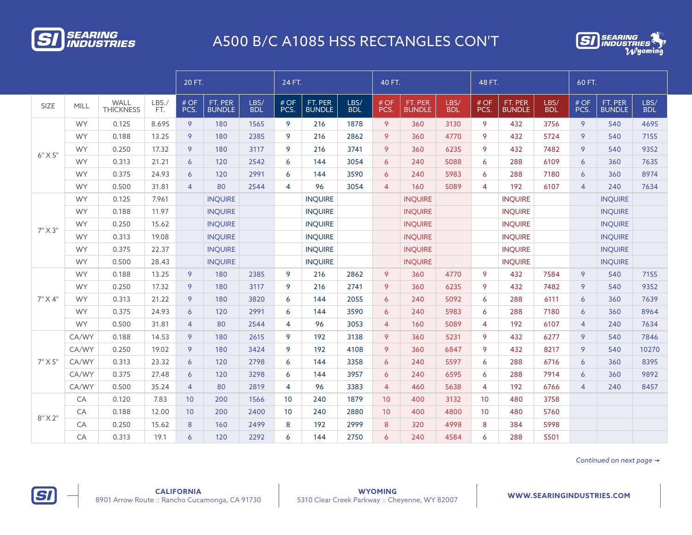



|             |           |                          | 20 FT.       |                |                          | 24 FT.             |                 |                          | 40 FT.             |                |                          | 48 FT.             |                |                          | 60 FT.             |                |                          |                    |
|-------------|-----------|--------------------------|--------------|----------------|--------------------------|--------------------|-----------------|--------------------------|--------------------|----------------|--------------------------|--------------------|----------------|--------------------------|--------------------|----------------|--------------------------|--------------------|
| <b>SIZE</b> | MILL      | WALL<br><b>THICKNESS</b> | LBS./<br>FT. | # OF<br>PCS.   | FT. PER<br><b>BUNDLE</b> | LBS/<br><b>BDL</b> | # OF<br>PCS.    | FT. PER<br><b>BUNDLE</b> | LBS/<br><b>BDL</b> | # OF<br>PCS.   | FT. PER<br><b>BUNDLE</b> | LBS/<br><b>BDL</b> | # OF<br>PCS.   | FT. PER<br><b>BUNDLE</b> | LBS/<br><b>BDL</b> | # OF<br>PCS.   | FT. PER<br><b>BUNDLE</b> | LBS/<br><b>BDL</b> |
|             | <b>WY</b> | 0.125                    | 8.695        | 9              | 180                      | 1565               | 9               | 216                      | 1878               | 9              | 360                      | 3130               | 9              | 432                      | 3756               | 9              | 540                      | 4695               |
|             | <b>WY</b> | 0.188                    | 13.25        | 9              | 180                      | 2385               | 9               | 216                      | 2862               | 9              | 360                      | 4770               | 9              | 432                      | 5724               | 9              | 540                      | 7155               |
| $6"$ X $5"$ | <b>WY</b> | 0.250                    | 17.32        | 9              | 180                      | 3117               | 9               | 216                      | 3741               | 9              | 360                      | 6235               | 9              | 432                      | 7482               | 9              | 540                      | 9352               |
|             | <b>WY</b> | 0.313                    | 21.21        | 6              | 120                      | 2542               | 6               | 144                      | 3054               | $\overline{6}$ | 240                      | 5088               | 6              | 288                      | 6109               | $\overline{6}$ | 360                      | 7635               |
|             | <b>WY</b> | 0.375                    | 24.93        | 6              | 120                      | 2991               | 6               | 144                      | 3590               | 6              | 240                      | 5983               | 6              | 288                      | 7180               | $\overline{6}$ | 360                      | 8974               |
|             | <b>WY</b> | 0.500                    | 31.81        | $\overline{4}$ | 80                       | 2544               | $\overline{4}$  | 96                       | 3054               | $\overline{4}$ | 160                      | 5089               | $\overline{4}$ | 192                      | 6107               | $\overline{4}$ | 240                      | 7634               |
|             | <b>WY</b> | 0.125                    | 7.961        |                | <b>INQUIRE</b>           |                    |                 | <b>INQUIRE</b>           |                    |                | <b>INQUIRE</b>           |                    |                | <b>INQUIRE</b>           |                    |                | <b>INQUIRE</b>           |                    |
| 7" X 3"     | <b>WY</b> | 0.188                    | 11.97        |                | <b>INQUIRE</b>           |                    |                 | <b>INQUIRE</b>           |                    |                | <b>INQUIRE</b>           |                    |                | <b>INQUIRE</b>           |                    |                | <b>INQUIRE</b>           |                    |
|             | <b>WY</b> | 0.250                    | 15.62        |                | <b>INQUIRE</b>           |                    |                 | <b>INQUIRE</b>           |                    |                | <b>INQUIRE</b>           |                    |                | <b>INQUIRE</b>           |                    |                | <b>INQUIRE</b>           |                    |
|             | <b>WY</b> | 0.313                    | 19.08        |                | <b>INQUIRE</b>           |                    |                 | <b>INQUIRE</b>           |                    |                | <b>INQUIRE</b>           |                    |                | <b>INQUIRE</b>           |                    |                | <b>INQUIRE</b>           |                    |
|             | <b>WY</b> | 0.375                    | 22.37        |                | <b>INQUIRE</b>           |                    |                 | <b>INQUIRE</b>           |                    |                | <b>INQUIRE</b>           |                    |                | <b>INQUIRE</b>           |                    |                | <b>INQUIRE</b>           |                    |
|             | <b>WY</b> | 0.500                    | 28.43        |                | <b>INQUIRE</b>           |                    |                 | <b>INQUIRE</b>           |                    |                | <b>INQUIRE</b>           |                    |                | <b>INQUIRE</b>           |                    |                | <b>INQUIRE</b>           |                    |
|             | <b>WY</b> | 0.188                    | 13.25        | 9              | 180                      | 2385               | 9               | 216                      | 2862               | 9              | 360                      | 4770               | 9              | 432                      | 7584               | 9              | 540                      | 7155               |
|             | <b>WY</b> | 0.250                    | 17.32        | 9              | 180                      | 3117               | 9               | 216                      | 2741               | 9              | 360                      | 6235               | 9              | 432                      | 7482               | 9              | 540                      | 9352               |
| 7" X 4"     | <b>WY</b> | 0.313                    | 21.22        | 9              | 180                      | 3820               | 6               | 144                      | 2055               | 6              | 240                      | 5092               | 6              | 288                      | 6111               | 6              | 360                      | 7639               |
|             | <b>WY</b> | 0.375                    | 24.93        | $\overline{6}$ | 120                      | 2991               | 6               | 144                      | 3590               | 6              | 240                      | 5983               | $\overline{6}$ | 288                      | 7180               | 6              | 360                      | 8964               |
|             | <b>WY</b> | 0.500                    | 31.81        | $\overline{4}$ | 80                       | 2544               | $\overline{4}$  | 96                       | 3053               | $\overline{4}$ | 160                      | 5089               | $\overline{4}$ | 192                      | 6107               | $\overline{4}$ | 240                      | 7634               |
|             | CA/WY     | 0.188                    | 14.53        | 9              | 180                      | 2615               | 9               | 192                      | 3138               | 9              | 360                      | 5231               | 9              | 432                      | 6277               | 9              | 540                      | 7846               |
|             | CA/WY     | 0.250                    | 19.02        | 9              | 180                      | 3424               | 9               | 192                      | 4108               | 9              | 360                      | 6847               | 9              | 432                      | 8217               | 9              | 540                      | 10270              |
| 7" X 5"     | CA/WY     | 0.313                    | 23.32        | $\epsilon$     | 120                      | 2798               | 6               | 144                      | 3358               | 6              | 240                      | 5597               | $\overline{6}$ | 288                      | 6716               | $\overline{6}$ | 360                      | 8395               |
|             | CA/WY     | 0.375                    | 27.48        | 6              | 120                      | 3298               | 6               | 144                      | 3957               | 6              | 240                      | 6595               | 6              | 288                      | 7914               | $\overline{6}$ | 360                      | 9892               |
|             | CA/WY     | 0.500                    | 35.24        | $\overline{4}$ | 80                       | 2819               | $\overline{4}$  | 96                       | 3383               | $\overline{4}$ | 460                      | 5638               | $\overline{4}$ | 192                      | 6766               | $\overline{4}$ | 240                      | 8457               |
|             | CA        | 0.120                    | 7.83         | 10             | 200                      | 1566               | 10 <sup>°</sup> | 240                      | 1879               | 10             | 400                      | 3132               | 10             | 480                      | 3758               |                |                          |                    |
| $8"$ X 2"   | CA        | 0.188                    | 12.00        | 10             | 200                      | 2400               | 10              | 240                      | 2880               | 10             | 400                      | 4800               | 10             | 480                      | 5760               |                |                          |                    |
|             | CA        | 0.250                    | 15.62        | 8              | 160                      | 2499               | 8               | 192                      | 2999               | 8              | 320                      | 4998               | 8              | 384                      | 5998               |                |                          |                    |
|             | CA        | 0.313                    | 19.1         | 6              | 120                      | 2292               | 6               | 144                      | 2750               | $\overline{6}$ | 240                      | 4584               | 6              | 288                      | 5501               |                |                          |                    |

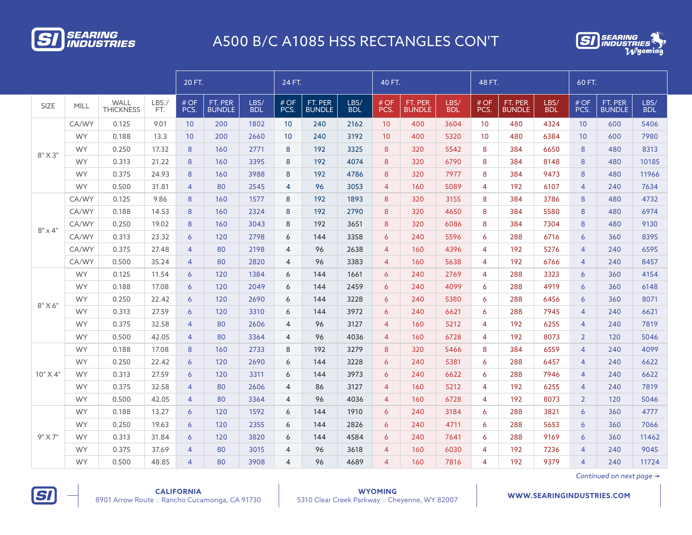



|                |           |                          |              | 20 FT.         |                          |                    | 24 FT.          |                          |                    | 40 FT.         |                          |                    | 48 FT.          |                          |                    | 60 FT.         |                          |                    |
|----------------|-----------|--------------------------|--------------|----------------|--------------------------|--------------------|-----------------|--------------------------|--------------------|----------------|--------------------------|--------------------|-----------------|--------------------------|--------------------|----------------|--------------------------|--------------------|
| <b>SIZE</b>    | MILL      | WALL<br><b>THICKNESS</b> | LBS./<br>FT. | # OF<br>PCS.   | FT. PER<br><b>BUNDLE</b> | LBS/<br><b>BDL</b> | # OF<br>PCS.    | FT. PER<br><b>BUNDLE</b> | LBS/<br><b>BDL</b> | # OF<br>PCS.   | FT. PER<br><b>BUNDLE</b> | LBS/<br><b>BDL</b> | # OF<br>PCS.    | FT. PER<br><b>BUNDLE</b> | LBS/<br><b>BDL</b> | # OF<br>PCS.   | FT. PER<br><b>BUNDLE</b> | LBS/<br><b>BDL</b> |
|                | CA/WY     | 0.125                    | 9.01         | 10             | 200                      | 1802               | 10 <sup>°</sup> | 240                      | 2162               | 10             | 400                      | 3604               | 10 <sup>°</sup> | 480                      | 4324               | 10             | 600                      | 5406               |
|                | <b>WY</b> | 0.188                    | 13.3         | 10             | 200                      | 2660               | 10 <sup>°</sup> | 240                      | 3192               | 10             | 400                      | 5320               | 10              | 480                      | 6384               | 10             | 600                      | 7980               |
| 8" X 3"        | <b>WY</b> | 0.250                    | 17.32        | 8              | 160                      | 2771               | 8               | 192                      | 3325               | 8              | 320                      | 5542               | 8               | 384                      | 6650               | 8              | 480                      | 8313               |
|                | <b>WY</b> | 0.313                    | 21.22        | 8              | 160                      | 3395               | 8               | 192                      | 4074               | 8              | 320                      | 6790               | 8               | 384                      | 8148               | 8              | 480                      | 10185              |
|                | <b>WY</b> | 0.375                    | 24.93        | 8              | 160                      | 3988               | 8               | 192                      | 4786               | 8              | 320                      | 7977               | 8               | 384                      | 9473               | 8              | 480                      | 11966              |
|                | <b>WY</b> | 0.500                    | 31.81        | $\overline{4}$ | 80                       | 2545               | $\overline{4}$  | 96                       | 3053               | $\overline{4}$ | 160                      | 5089               | $\overline{4}$  | 192                      | 6107               | $\overline{4}$ | 240                      | 7634               |
|                | CA/WY     | 0.125                    | 9.86         | 8              | 160                      | 1577               | 8               | 192                      | 1893               | 8              | 320                      | 3155               | 8               | 384                      | 3786               | 8              | 480                      | 4732               |
| $8" \times 4"$ | CA/WY     | 0.188                    | 14.53        | 8              | 160                      | 2324               | 8               | 192                      | 2790               | 8              | 320                      | 4650               | 8               | 384                      | 5580               | 8              | 480                      | 6974               |
|                | CA/WY     | 0.250                    | 19.02        | 8              | 160                      | 3043               | 8               | 192                      | 3651               | 8              | 320                      | 6086               | 8               | 384                      | 7304               | 8              | 480                      | 9130               |
|                | CA/WY     | 0.313                    | 23.32        | 6              | 120                      | 2798               | 6               | 144                      | 3358               | 6              | 240                      | 5596               | 6               | 288                      | 6716               | $\overline{6}$ | 360                      | 8395               |
|                | CA/WY     | 0.375                    | 27.48        | 4              | 80                       | 2198               | $\overline{4}$  | 96                       | 2638               | $\overline{4}$ | 160                      | 4396               | $\overline{4}$  | 192                      | 5276               | $\overline{4}$ | 240                      | 6595               |
|                | CA/WY     | 0.500                    | 35.24        | $\overline{4}$ | 80                       | 2820               | $\overline{4}$  | 96                       | 3383               | $\overline{4}$ | 160                      | 5638               | $\overline{4}$  | 192                      | 6766               | $\overline{4}$ | 240                      | 8457               |
|                | <b>WY</b> | 0.125                    | 11.54        | 6              | 120                      | 1384               | 6               | 144                      | 1661               | $\overline{6}$ | 240                      | 2769               | 4               | 288                      | 3323               | $\overline{6}$ | 360                      | 4154               |
|                | <b>WY</b> | 0.188                    | 17.08        | 6              | 120                      | 2049               | 6               | 144                      | 2459               | $\overline{6}$ | 240                      | 4099               | 6               | 288                      | 4919               | $\overline{6}$ | 360                      | 6148               |
| $8"$ X 6"      | <b>WY</b> | 0.250                    | 22.42        | $\overline{6}$ | 120                      | 2690               | 6               | 144                      | 3228               | 6              | 240                      | 5380               | 6               | 288                      | 6456               | $\overline{6}$ | 360                      | 8071               |
|                | <b>WY</b> | 0.313                    | 27.59        | $\overline{6}$ | 120                      | 3310               | 6               | 144                      | 3972               | $\overline{6}$ | 240                      | 6621               | 6               | 288                      | 7945               | $\overline{4}$ | 240                      | 6621               |
|                | <b>WY</b> | 0.375                    | 32.58        | 4              | 80                       | 2606               | 4               | 96                       | 3127               | $\overline{4}$ | 160                      | 5212               | $\overline{4}$  | 192                      | 6255               | $\overline{4}$ | 240                      | 7819               |
|                | <b>WY</b> | 0.500                    | 42.05        | $\overline{4}$ | 80                       | 3364               | $\overline{4}$  | 96                       | 4036               | $\overline{4}$ | 160                      | 6728               | 4               | 192                      | 8073               | $\overline{2}$ | 120                      | 5046               |
|                | <b>WY</b> | 0.188                    | 17.08        | 8              | 160                      | 2733               | 8               | 192                      | 3279               | 8              | 320                      | 5466               | 8               | 384                      | 6559               | $\overline{4}$ | 240                      | 4099               |
|                | <b>WY</b> | 0.250                    | 22.42        | 6              | 120                      | 2690               | 6               | 144                      | 3228               | 6              | 240                      | 5381               | 6               | 288                      | 6457               | $\overline{4}$ | 240                      | 6622               |
| $10"$ X 4"     | <b>WY</b> | 0.313                    | 27.59        | 6              | 120                      | 3311               | 6               | 144                      | 3973               | 6              | 240                      | 6622               | 6               | 288                      | 7946               | $\overline{4}$ | 240                      | 6622               |
|                | <b>WY</b> | 0.375                    | 32.58        | $\overline{4}$ | 80                       | 2606               | $\overline{4}$  | 86                       | 3127               | $\overline{4}$ | 160                      | 5212               | 4               | 192                      | 6255               | $\overline{4}$ | 240                      | 7819               |
|                | <b>WY</b> | 0.500                    | 42.05        | $\overline{4}$ | 80                       | 3364               | $\overline{4}$  | 96                       | 4036               | $\overline{4}$ | 160                      | 6728               | $\overline{4}$  | 192                      | 8073               | $\overline{2}$ | 120                      | 5046               |
|                | <b>WY</b> | 0.188                    | 13.27        | $\overline{6}$ | 120                      | 1592               | 6               | 144                      | 1910               | $\overline{6}$ | 240                      | 3184               | 6               | 288                      | 3821               | $\overline{6}$ | 360                      | 4777               |
|                | <b>WY</b> | 0.250                    | 19.63        | 6              | 120                      | 2355               | 6               | 144                      | 2826               | 6              | 240                      | 4711               | 6               | 288                      | 5653               | 6              | 360                      | 7066               |
| 9" X 7"        | <b>WY</b> | 0.313                    | 31.84        | $\overline{6}$ | 120                      | 3820               | 6               | 144                      | 4584               | 6              | 240                      | 7641               | 6               | 288                      | 9169               | $\overline{6}$ | 360                      | 11462              |
|                | <b>WY</b> | 0.375                    | 37.69        | 4              | 80                       | 3015               | $\overline{4}$  | 96                       | 3618               | $\overline{4}$ | 160                      | 6030               | 4               | 192                      | 7236               | $\overline{4}$ | 240                      | 9045               |
|                | <b>WY</b> | 0.500                    | 48.85        | 4              | 80                       | 3908               | 4               | 96                       | 4689               | $\overline{4}$ | 160                      | 7816               | 4               | 192                      | 9379               | $\overline{4}$ | 240                      | 11724              |